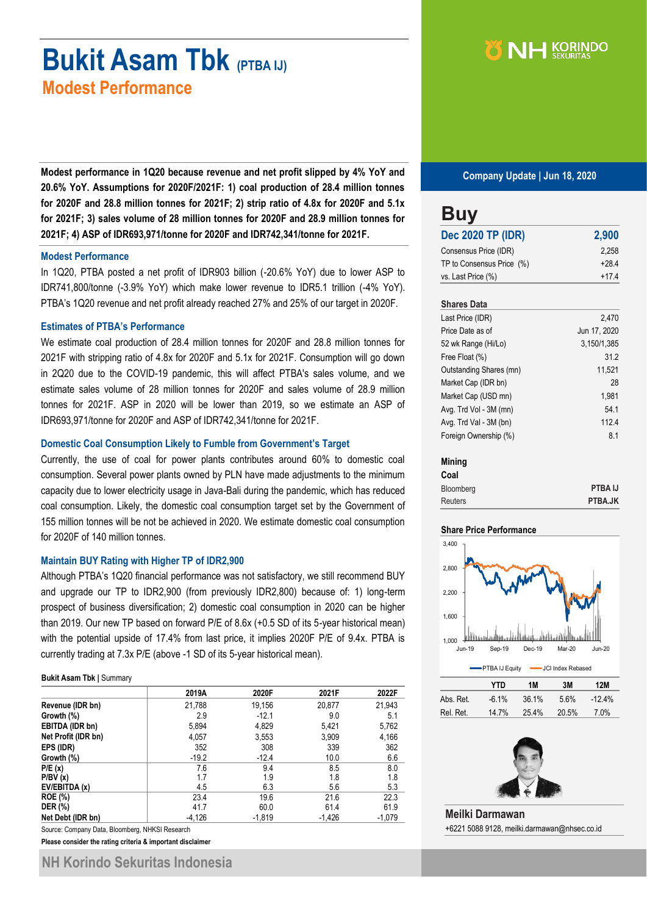# **Bukit Asam Tbk (PTBA IJ) Modest Performance**

**Modest performance in 1Q20 because revenue and net profit slipped by 4% YoY and 20.6% YoY. Assumptions for 2020F/2021F: 1) coal production of 28.4 million tonnes for 2020F and 28.8 million tonnes for 2021F; 2) strip ratio of 4.8x for 2020F and 5.1x for 2021F; 3) sales volume of 28 million tonnes for 2020F and 28.9 million tonnes for 2021F; 4) ASP of IDR693,971/tonne for 2020F and IDR742,341/tonne for 2021F.**

#### **Modest Performance**

In 1Q20, PTBA posted a net profit of IDR903 billion (-20.6% YoY) due to lower ASP to IDR741,800/tonne (-3.9% YoY) which make lower revenue to IDR5.1 trillion (-4% YoY). PTBA's 1Q20 revenue and net profit already reached 27% and 25% of our target in 2020F.

#### **Estimates of PTBA's Performance**

We estimate coal production of 28.4 million tonnes for 2020F and 28.8 million tonnes for 2021F with stripping ratio of 4.8x for 2020F and 5.1x for 2021F. Consumption will go down in 2Q20 due to the COVID-19 pandemic, this will affect PTBA's sales volume, and we estimate sales volume of 28 million tonnes for 2020F and sales volume of 28.9 million tonnes for 2021F. ASP in 2020 will be lower than 2019, so we estimate an ASP of IDR693,971/tonne for 2020F and ASP of IDR742,341/tonne for 2021F.

#### **Domestic Coal Consumption Likely to Fumble from Government's Target**

Currently, the use of coal for power plants contributes around 60% to domestic coal consumption. Several power plants owned by PLN have made adjustments to the minimum capacity due to lower electricity usage in Java-Bali during the pandemic, which has reduced coal consumption. Likely, the domestic coal consumption target set by the Government of 155 million tonnes will be not be achieved in 2020. We estimate domestic coal consumption for 2020F of 140 million tonnes.

#### **Maintain BUY Rating with Higher TP of IDR2,900**

Although PTBA's 1Q20 financial performance was not satisfactory, we still recommend BUY and upgrade our TP to IDR2,900 (from previously IDR2,800) because of: 1) long-term prospect of business diversification; 2) domestic coal consumption in 2020 can be higher than 2019. Our new TP based on forward P/E of 8.6x (+0.5 SD of its 5-year historical mean) with the potential upside of 17.4% from last price, it implies 2020F P/E of 9.4x. PTBA is currently trading at 7.3x P/E (above -1 SD of its 5-year historical mean).

#### **Bukit Asam Tbk |** Summary

|                     | 2019A    | 2020F    | 2021F    | 2022F    |
|---------------------|----------|----------|----------|----------|
| Revenue (IDR bn)    | 21,788   | 19,156   | 20,877   | 21,943   |
| Growth (%)          | 2.9      | $-12.1$  | 9.0      | 5.1      |
| EBITDA (IDR bn)     | 5,894    | 4,829    | 5,421    | 5,762    |
| Net Profit (IDR bn) | 4,057    | 3,553    | 3,909    | 4,166    |
| EPS (IDR)           | 352      | 308      | 339      | 362      |
| Growth (%)          | $-19.2$  | $-12.4$  | 10.0     | 6.6      |
| P/E(x)              | 7.6      | 9.4      | 8.5      | 8.0      |
| P/BV(x)             | 1.7      | 1.9      | 1.8      | 1.8      |
| EV/EBITDA (x)       | 4.5      | 6.3      | 5.6      | 5.3      |
| <b>ROE</b> (%)      | 23.4     | 19.6     | 21.6     | 22.3     |
| <b>DER (%)</b>      | 41.7     | 60.0     | 61.4     | 61.9     |
| Net Debt (IDR bn)   | $-4.126$ | $-1,819$ | $-1,426$ | $-1,079$ |

Source: Company Data, Bloomberg, NHKSI Research

**Please consider the rating criteria & important disclaimer**

# NH KORINDO

**Company Update | Jun 18, 2020**

| <b>Buy</b>                |         |
|---------------------------|---------|
| <b>Dec 2020 TP (IDR)</b>  | 2,900   |
| Consensus Price (IDR)     | 2,258   |
| TP to Consensus Price (%) | $+28.4$ |
| vs. Last Price (%)        | $+174$  |
| <b>Shares Data</b>        |         |

| Last Price (IDR)        | 2.470        |
|-------------------------|--------------|
| Price Date as of        | Jun 17, 2020 |
| 52 wk Range (Hi/Lo)     | 3,150/1,385  |
| Free Float (%)          | 31.2         |
| Outstanding Shares (mn) | 11,521       |
| Market Cap (IDR bn)     | 28           |
| Market Cap (USD mn)     | 1,981        |
| Avg. Trd Vol - 3M (mn)  | 54.1         |
| Avg. Trd Val - 3M (bn)  | 112.4        |
| Foreign Ownership (%)   | 8.1          |

#### **Mining**

| Coal           |         |
|----------------|---------|
| Bloomberg      | PTBA IJ |
| <b>Reuters</b> | PTBA.JK |

#### **Share Price Performance**



|           | YTD      | 1M   | 3M    | 12M      |
|-----------|----------|------|-------|----------|
| Abs. Ret. | $-6.1\%$ | 361% | 5.6%  | $-12.4%$ |
| Rel. Ret. | 14.7%    | 254% | 20.5% | 7.0%     |



**Meilki Darmawan** +6221 5088 9128, meilki.darmawan@nhsec.co.id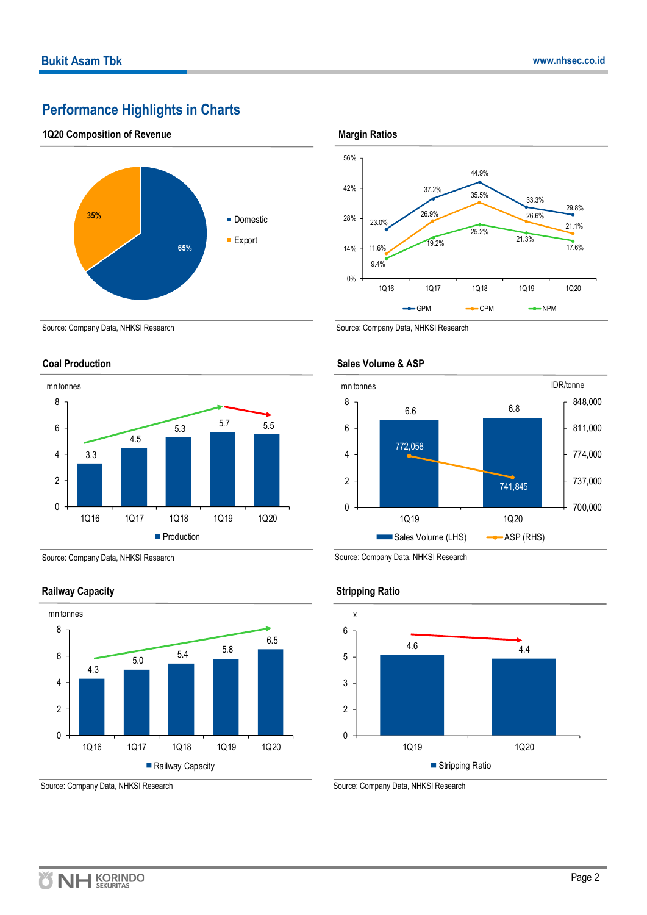# **Performance Highlights in Charts**

### **1Q20 Composition of Revenue**



Source: Company Data, NHKSI Research

### **Coal Production**



Source: Company Data, NHKSI Research

### **Railway Capacity**



Source: Company Data, NHKSI Research

**Margin Ratios**



Source: Company Data, NHKSI Research



### **Sales Volume & ASP**

Source: Company Data, NHKSI Research

#### **Stripping Ratio**



Source: Company Data, NHKSI Research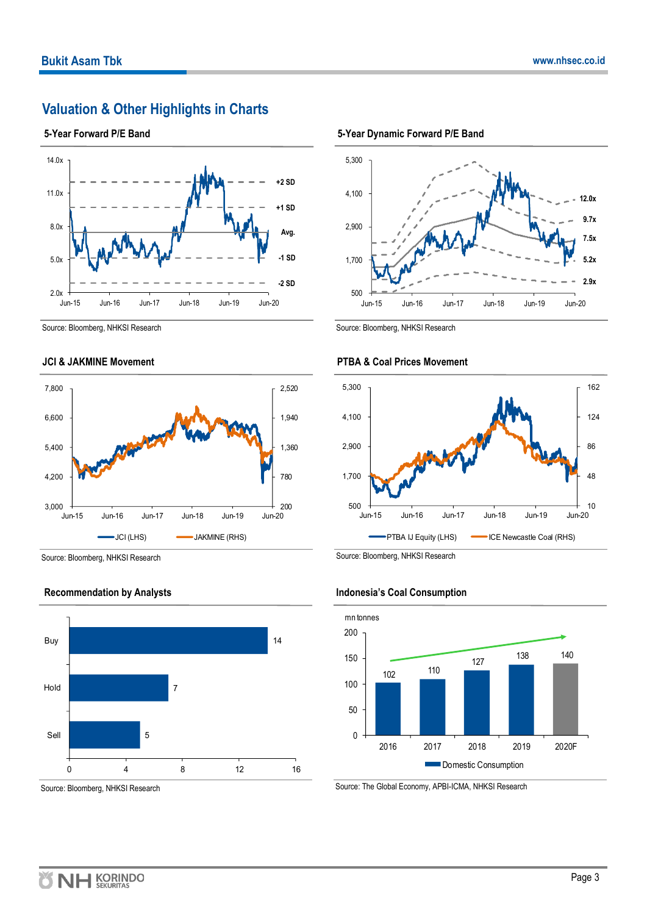# **Valuation & Other Highlights in Charts**

**5-Year Forward P/E Band**



Source: Bloomberg, NHKSI Research

#### **JCI & JAKMINE Movement**



Source: Bloomberg, NHKSI Research

#### **Recommendation by Analysts**



Source: Bloomberg, NHKSI Research





Source: Bloomberg, NHKSI Research



### **PTBA & Coal Prices Movement**

Source: Bloomberg, NHKSI Research



### **Indonesia's Coal Consumption**

Source: The Global Economy, APBI-ICMA, NHKSI Research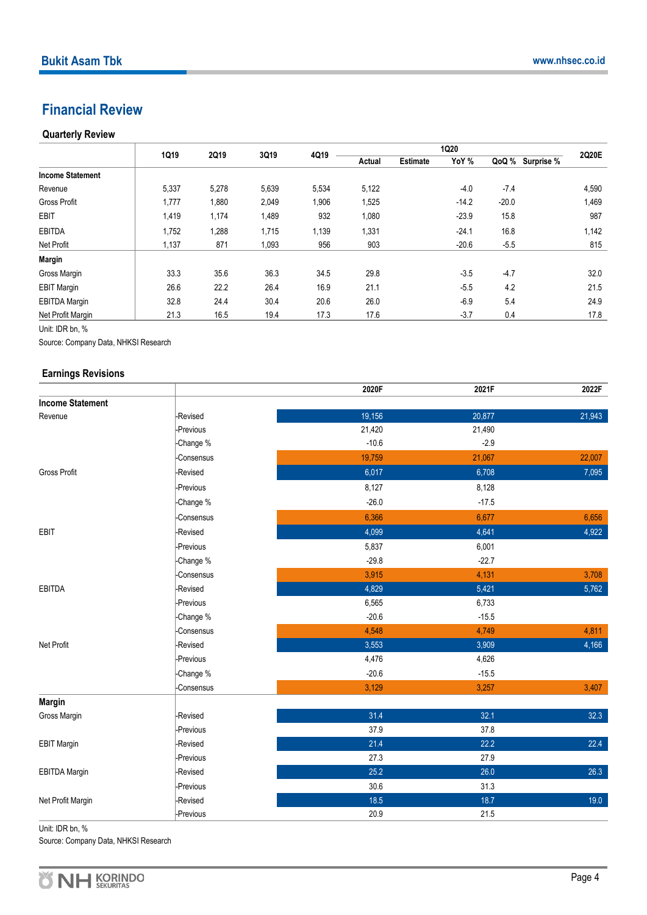### **Financial Review**

### **Quarterly Review**

|                         | 1Q19  | 2Q19  | 3Q19  | 4Q19  |        | 1Q20            |         |         | 2Q20E            |       |
|-------------------------|-------|-------|-------|-------|--------|-----------------|---------|---------|------------------|-------|
|                         |       |       |       |       | Actual | <b>Estimate</b> | YoY %   |         | QoQ % Surprise % |       |
| <b>Income Statement</b> |       |       |       |       |        |                 |         |         |                  |       |
| Revenue                 | 5,337 | 5,278 | 5,639 | 5,534 | 5,122  |                 | $-4.0$  | $-7.4$  |                  | 4,590 |
| <b>Gross Profit</b>     | 1,777 | 1,880 | 2,049 | 1,906 | 1,525  |                 | $-14.2$ | $-20.0$ |                  | 1,469 |
| <b>EBIT</b>             | 1,419 | 1,174 | 1,489 | 932   | 1,080  |                 | $-23.9$ | 15.8    |                  | 987   |
| <b>EBITDA</b>           | 1,752 | 1,288 | 1,715 | 1,139 | 1,331  |                 | $-24.1$ | 16.8    |                  | 1,142 |
| Net Profit              | 1,137 | 871   | 1,093 | 956   | 903    |                 | $-20.6$ | $-5.5$  |                  | 815   |
| <b>Margin</b>           |       |       |       |       |        |                 |         |         |                  |       |
| Gross Margin            | 33.3  | 35.6  | 36.3  | 34.5  | 29.8   |                 | $-3.5$  | $-4.7$  |                  | 32.0  |
| <b>EBIT Margin</b>      | 26.6  | 22.2  | 26.4  | 16.9  | 21.1   |                 | $-5.5$  | 4.2     |                  | 21.5  |
| <b>EBITDA Margin</b>    | 32.8  | 24.4  | 30.4  | 20.6  | 26.0   |                 | $-6.9$  | 5.4     |                  | 24.9  |
| Net Profit Margin       | 21.3  | 16.5  | 19.4  | 17.3  | 17.6   |                 | $-3.7$  | 0.4     |                  | 17.8  |

Unit: IDR bn, %

Source: Company Data, NHKSI Research

#### **Earnings Revisions**

|                         |                  | 2020F   | 2021F   | 2022F  |
|-------------------------|------------------|---------|---------|--------|
| <b>Income Statement</b> |                  |         |         |        |
| Revenue                 | -Revised         | 19,156  | 20,877  | 21,943 |
|                         | -Previous        | 21,420  | 21,490  |        |
|                         | -Change %        | $-10.6$ | $-2.9$  |        |
|                         | <b>Consensus</b> | 19,759  | 21,067  | 22,007 |
| Gross Profit            | -Revised         | 6,017   | 6,708   | 7,095  |
|                         | -Previous        | 8,127   | 8,128   |        |
|                         | -Change %        | $-26.0$ | $-17.5$ |        |
|                         | <b>Consensus</b> | 6,366   | 6,677   | 6,656  |
| EBIT                    | -Revised         | 4,099   | 4,641   | 4,922  |
|                         | Previous         | 5,837   | 6,001   |        |
|                         | Change %         | $-29.8$ | $-22.7$ |        |
|                         | Consensus        | 3,915   | 4,131   | 3,708  |
| EBITDA                  | Revised          | 4,829   | 5,421   | 5,762  |
|                         | -Previous        | 6,565   | 6,733   |        |
|                         | -Change %        | $-20.6$ | $-15.5$ |        |
|                         | Consensus        | 4,548   | 4,749   | 4,811  |
| Net Profit              | Revised          | 3,553   | 3,909   | 4,166  |
|                         | Previous         | 4,476   | 4,626   |        |
|                         | -Change %        | $-20.6$ | $-15.5$ |        |
|                         | Consensus        | 3,129   | 3,257   | 3,407  |
| <b>Margin</b>           |                  |         |         |        |
| Gross Margin            | Revised          | 31.4    | 32.1    | 32.3   |
|                         | -Previous        | 37.9    | 37.8    |        |
| <b>EBIT Margin</b>      | -Revised         | 21.4    | 22.2    | 22.4   |
|                         | -Previous        | 27.3    | 27.9    |        |
| <b>EBITDA Margin</b>    | -Revised         | 25.2    | 26.0    | 26.3   |
|                         | Previous         | 30.6    | 31.3    |        |
| Net Profit Margin       | -Revised         | 18.5    | 18.7    | 19.0   |
|                         | -Previous        | 20.9    | 21.5    |        |

Unit: IDR bn, %

Source: Company Data, NHKSI Research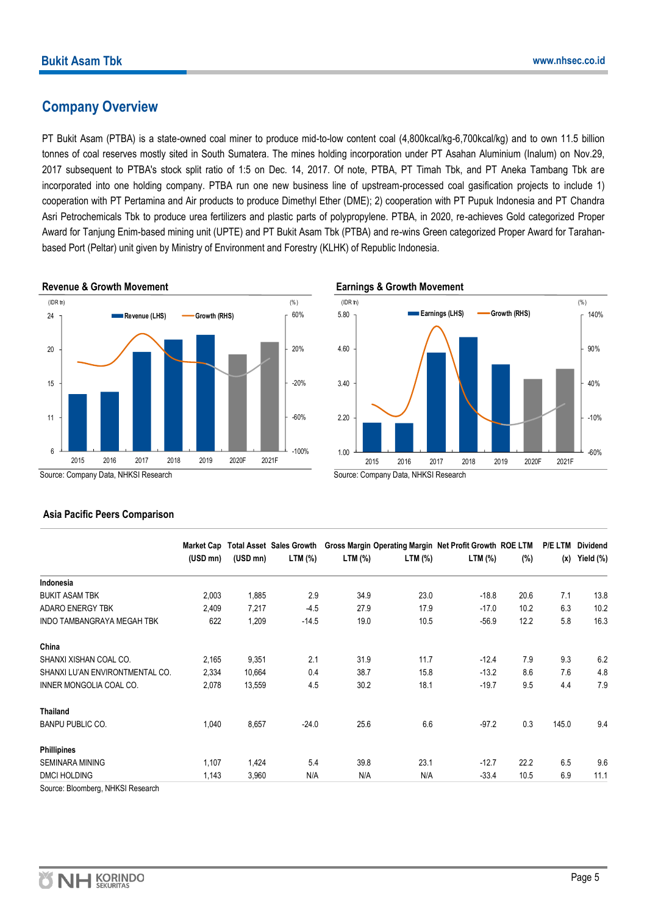### **Company Overview**

PT Bukit Asam (PTBA) is a state-owned coal miner to produce mid-to-low content coal (4,800kcal/kg-6,700kcal/kg) and to own 11.5 billion tonnes of coal reserves mostly sited in South Sumatera. The mines holding incorporation under PT Asahan Aluminium (Inalum) on Nov.29, 2017 subsequent to PTBA's stock split ratio of 1:5 on Dec. 14, 2017. Of note, PTBA, PT Timah Tbk, and PT Aneka Tambang Tbk are incorporated into one holding company. PTBA run one new business line of upstream-processed coal gasification projects to include 1) cooperation with PT Pertamina and Air products to produce Dimethyl Ether (DME); 2) cooperation with PT Pupuk Indonesia and PT Chandra Asri Petrochemicals Tbk to produce urea fertilizers and plastic parts of polypropylene. PTBA, in 2020, re-achieves Gold categorized Proper Award for Tanjung Enim-based mining unit (UPTE) and PT Bukit Asam Tbk (PTBA) and re-wins Green categorized Proper Award for Tarahanbased Port (Peltar) unit given by Ministry of Environment and Forestry (KLHK) of Republic Indonesia.



#### **Earnings & Growth Movement**



Source: Company Data, NHKSI Research

### **Asia Pacific Peers Comparison**

|                                   | Market Cap |          | <b>Total Asset Sales Growth</b> |         |         | Gross Margin Operating Margin Net Profit Growth ROE LTM |      | <b>P/E LTM</b> | <b>Dividend</b> |
|-----------------------------------|------------|----------|---------------------------------|---------|---------|---------------------------------------------------------|------|----------------|-----------------|
|                                   | (USD mn)   | (USD mn) | LTM (%)                         | LTM (%) | LTM (%) | LTM (%)                                                 | (%)  | (x)            | Yield (%)       |
| Indonesia                         |            |          |                                 |         |         |                                                         |      |                |                 |
| <b>BUKIT ASAM TBK</b>             | 2,003      | 1,885    | 2.9                             | 34.9    | 23.0    | $-18.8$                                                 | 20.6 | 7.1            | 13.8            |
| <b>ADARO ENERGY TBK</b>           | 2,409      | 7,217    | $-4.5$                          | 27.9    | 17.9    | $-17.0$                                                 | 10.2 | 6.3            | 10.2            |
| INDO TAMBANGRAYA MEGAH TBK        | 622        | 1,209    | $-14.5$                         | 19.0    | 10.5    | $-56.9$                                                 | 12.2 | 5.8            | 16.3            |
| China                             |            |          |                                 |         |         |                                                         |      |                |                 |
| SHANXI XISHAN COAL CO.            | 2,165      | 9,351    | 2.1                             | 31.9    | 11.7    | $-12.4$                                                 | 7.9  | 9.3            | 6.2             |
| SHANXI LU'AN ENVIRONTMENTAL CO.   | 2,334      | 10,664   | 0.4                             | 38.7    | 15.8    | $-13.2$                                                 | 8.6  | 7.6            | 4.8             |
| INNER MONGOLIA COAL CO.           | 2,078      | 13,559   | 4.5                             | 30.2    | 18.1    | $-19.7$                                                 | 9.5  | 4.4            | 7.9             |
| <b>Thailand</b>                   |            |          |                                 |         |         |                                                         |      |                |                 |
| <b>BANPU PUBLIC CO.</b>           | 1,040      | 8,657    | $-24.0$                         | 25.6    | 6.6     | $-97.2$                                                 | 0.3  | 145.0          | 9.4             |
| <b>Phillipines</b>                |            |          |                                 |         |         |                                                         |      |                |                 |
| <b>SEMINARA MINING</b>            | 1,107      | 1,424    | 5.4                             | 39.8    | 23.1    | $-12.7$                                                 | 22.2 | 6.5            | 9.6             |
| DMCI HOLDING                      | 1,143      | 3,960    | N/A                             | N/A     | N/A     | $-33.4$                                                 | 10.5 | 6.9            | 11.1            |
| Source: Bloomberg, NHKSI Pessarch |            |          |                                 |         |         |                                                         |      |                |                 |

Source: Bloomberg, NHKSI Research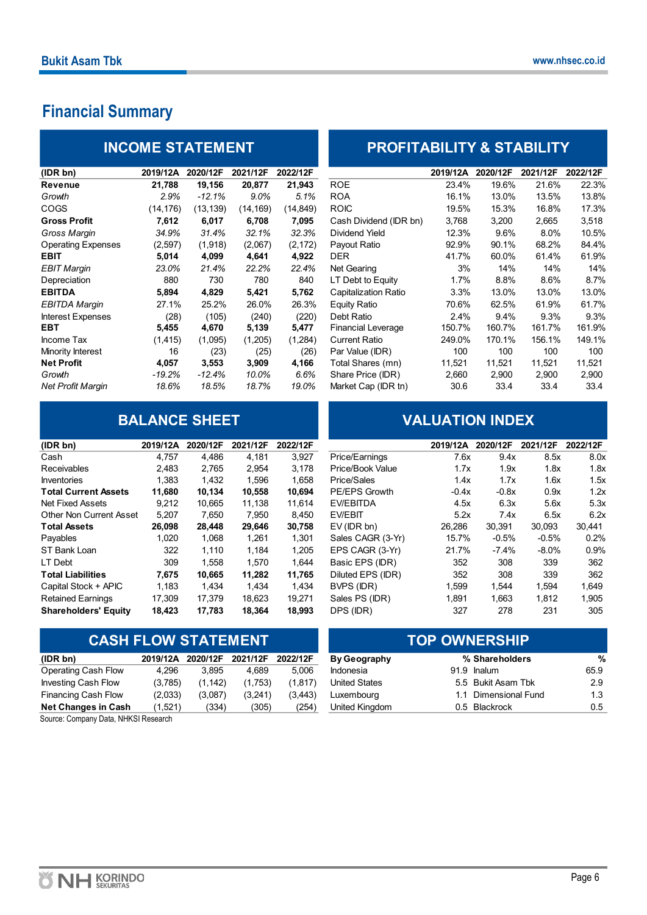# **Financial Summary**

| <b>INCOME STATEMENT</b>   |           |           |           |           | <b>PROFITABILITY &amp; STABILITY</b> |          |          |          |          |  |
|---------------------------|-----------|-----------|-----------|-----------|--------------------------------------|----------|----------|----------|----------|--|
| (IDR bn)                  | 2019/12A  | 2020/12F  | 2021/12F  | 2022/12F  |                                      | 2019/12A | 2020/12F | 2021/12F | 2022/12F |  |
| <b>Revenue</b>            | 21,788    | 19,156    | 20,877    | 21,943    | <b>ROE</b>                           | 23.4%    | 19.6%    | 21.6%    | 22.3%    |  |
| Growth                    | 2.9%      | $-12.1\%$ | $9.0\%$   | 5.1%      | <b>ROA</b>                           | 16.1%    | 13.0%    | 13.5%    | 13.8%    |  |
| <b>COGS</b>               | (14, 176) | (13, 139) | (14, 169) | (14, 849) | <b>ROIC</b>                          | 19.5%    | 15.3%    | 16.8%    | 17.3%    |  |
| <b>Gross Profit</b>       | 7,612     | 6,017     | 6,708     | 7,095     | Cash Dividend (IDR bn)               | 3,768    | 3,200    | 2,665    | 3,518    |  |
| Gross Margin              | 34.9%     | 31.4%     | 32.1%     | 32.3%     | Dividend Yield                       | 12.3%    | 9.6%     | 8.0%     | 10.5%    |  |
| <b>Operating Expenses</b> | (2,597)   | (1,918)   | (2,067)   | (2, 172)  | Payout Ratio                         | 92.9%    | 90.1%    | 68.2%    | 84.4%    |  |
| <b>EBIT</b>               | 5,014     | 4,099     | 4,641     | 4,922     | DER                                  | 41.7%    | 60.0%    | 61.4%    | 61.9%    |  |
| <b>EBIT Margin</b>        | 23.0%     | 21.4%     | 22.2%     | 22.4%     | Net Gearing                          | 3%       | 14%      | 14%      | 14%      |  |
| Depreciation              | 880       | 730       | 780       | 840       | LT Debt to Equity                    | 1.7%     | 8.8%     | 8.6%     | 8.7%     |  |
| <b>EBITDA</b>             | 5,894     | 4,829     | 5,421     | 5,762     | Capitalization Ratio                 | $3.3\%$  | 13.0%    | 13.0%    | 13.0%    |  |
| <b>EBITDA Margin</b>      | 27.1%     | 25.2%     | 26.0%     | 26.3%     | Equity Ratio                         | 70.6%    | 62.5%    | 61.9%    | 61.7%    |  |
| <b>Interest Expenses</b>  | (28)      | (105)     | (240)     | (220)     | Debt Ratio                           | 2.4%     | 9.4%     | 9.3%     | 9.3%     |  |
| <b>EBT</b>                | 5,455     | 4,670     | 5,139     | 5,477     | <b>Financial Leverage</b>            | 150.7%   | 160.7%   | 161.7%   | 161.9%   |  |
| Income Tax                | (1, 415)  | (1,095)   | (1,205)   | (1,284)   | <b>Current Ratio</b>                 | 249.0%   | 170.1%   | 156.1%   | 149.1%   |  |
| Minority Interest         | 16        | (23)      | (25)      | (26)      | Par Value (IDR)                      | 100      | 100      | 100      | 100      |  |
| <b>Net Profit</b>         | 4,057     | 3,553     | 3,909     | 4,166     | Total Shares (mn)                    | 11,521   | 11,521   | 11,521   | 11,521   |  |
| Growth                    | -19.2%    | $-12.4%$  | 10.0%     | 6.6%      | Share Price (IDR)                    | 2,660    | 2,900    | 2,900    | 2,900    |  |
| <b>Net Profit Margin</b>  | 18.6%     | 18.5%     | 18.7%     | 19.0%     | Market Cap (IDR tn)                  | 30.6     | 33.4     | 33.4     | 33.4     |  |

# **BALANCE SHEET**

| (IDR bn)                    | 2019/12A | 2020/12F | 2021/12F | 2022/12F |                      | 2019/12A | 2020/12F | 2021/12F | 2022/12F         |
|-----------------------------|----------|----------|----------|----------|----------------------|----------|----------|----------|------------------|
| Cash                        | 4.757    | 4.486    | 4,181    | 3,927    | Price/Earnings       | 7.6x     | 9.4x     | 8.5x     | 8.0              |
| <b>Receivables</b>          | 2.483    | 2.765    | 2,954    | 3,178    | Price/Book Value     | 1.7x     | 1.9x     | 1.8x     | 1.8              |
| <b>Inventories</b>          | 1.383    | 1,432    | 1,596    | 1.658    | Price/Sales          | 1.4x     | 1.7x     | 1.6x     | 1.5              |
| <b>Total Current Assets</b> | 11,680   | 10,134   | 10,558   | 10,694   | <b>PE/EPS Growth</b> | $-0.4x$  | $-0.8x$  | 0.9x     | 1.2              |
| Net Fixed Assets            | 9.212    | 10.665   | 11.138   | 11.614   | EV/EBITDA            | 4.5x     | 6.3x     | 5.6x     | 5.3 <sub>2</sub> |
| Other Non Current Asset     | 5,207    | 7,650    | 7,950    | 8,450    | EV/EBIT              | 5.2x     | 7.4x     | 6.5x     | 6.2              |
| <b>Total Assets</b>         | 26,098   | 28,448   | 29,646   | 30,758   | $EV$ (IDR bn)        | 26,286   | 30,391   | 30,093   | 30,441           |
| Payables                    | 1,020    | 1,068    | 1,261    | 1,301    | Sales CAGR (3-Yr)    | 15.7%    | $-0.5%$  | $-0.5%$  | 0.2%             |
| ST Bank Loan                | 322      | 1.110    | 1,184    | 1,205    | EPS CAGR (3-Yr)      | 21.7%    | $-7.4%$  | $-8.0\%$ | 0.9%             |
| LT Debt                     | 309      | 1,558    | 1.570    | 1.644    | Basic EPS (IDR)      | 352      | 308      | 339      | 362              |
| <b>Total Liabilities</b>    | 7.675    | 10.665   | 11.282   | 11,765   | Diluted EPS (IDR)    | 352      | 308      | 339      | 362              |
| Capital Stock + APIC        | 1,183    | 1,434    | 1,434    | 1,434    | BVPS (IDR)           | 1.599    | 1.544    | 1.594    | 1.649            |
| <b>Retained Earnings</b>    | 17.309   | 17.379   | 18.623   | 19.271   | Sales PS (IDR)       | 1,891    | 1,663    | 1,812    | 1,905            |
| <b>Shareholders' Equity</b> | 18,423   | 17.783   | 18.364   | 18,993   | DPS (IDR)            | 327      | 278      | 231      | 305              |

# **CASH FLOW STATEMENT**

| (IDR bn)                   | 2019/12A | 2020/12F | 2021/12F | 2022/12F | <b>By Geography</b>  |     | % Shareholders     | %    |
|----------------------------|----------|----------|----------|----------|----------------------|-----|--------------------|------|
| Operating Cash Flow        | 4.296    | 3.895    | 4.689    | 5.006    | <b>Indonesia</b>     |     | 91.9 Inalum        | 65.9 |
| <b>Investing Cash Flow</b> | (3,785)  | (1.142)  | (1.753)  | (1.817)  | <b>United States</b> |     | 5.5 Bukit Asam Tbk | 2.9  |
| Financing Cash Flow        | (2,033)  | (3.087)  | (3.241)  | (3.443)  | Luxemboura           | 1.1 | Dimensional Fund   | 1.3  |
| <b>Net Changes in Cash</b> | (1,521)  | (334)    | (305)    | (254)    | United Kingdom       |     | 0.5 Blackrock      | 0.5  |
|                            |          |          |          |          |                      |     |                    |      |

Source: Company Data, NHKSI Research

# **PROFITABILITY & STABILITY**

| (IDR bn)                 | 2019/12A  | 2020/12F | 2021/12F  | 2022/12F  |                             | 2019/12A | 2020/12F | 2021/12F | 2022/12F |
|--------------------------|-----------|----------|-----------|-----------|-----------------------------|----------|----------|----------|----------|
| Revenue                  | 21,788    | 19,156   | 20,877    | 21,943    | <b>ROE</b>                  | 23.4%    | 19.6%    | 21.6%    | 22.3%    |
| Growth                   | 2.9%      | $-12.1%$ | 9.0%      | 5.1%      | <b>ROA</b>                  | 16.1%    | 13.0%    | 13.5%    | 13.8%    |
| COGS                     | (14, 176) | (13,139) | (14, 169) | (14, 849) | <b>ROIC</b>                 | 19.5%    | 15.3%    | 16.8%    | 17.3%    |
| Gross Profit             | 7,612     | 6,017    | 6,708     | 7,095     | Cash Dividend (IDR bn)      | 3,768    | 3,200    | 2,665    | 3,518    |
| Gross Marqin             | 34.9%     | 31.4%    | 32.1%     | 32.3%     | Dividend Yield              | 12.3%    | 9.6%     | 8.0%     | 10.5%    |
| Operating Expenses       | (2,597)   | (1,918)  | (2,067)   | (2, 172)  | Payout Ratio                | 92.9%    | 90.1%    | 68.2%    | 84.4%    |
| EBIT                     | 5,014     | 4,099    | 4,641     | 4,922     | <b>DER</b>                  | 41.7%    | 60.0%    | 61.4%    | 61.9%    |
| EBIT Marqin              | 23.0%     | 21.4%    | 22.2%     | 22.4%     | Net Gearing                 | 3%       | 14%      | 14%      | 14%      |
| Depreciation             | 880       | 730      | 780       | 840       | LT Debt to Equity           | 1.7%     | 8.8%     | 8.6%     | 8.7%     |
| EBITDA                   | 5,894     | 4,829    | 5,421     | 5,762     | <b>Capitalization Ratio</b> | 3.3%     | 13.0%    | 13.0%    | 13.0%    |
| EBITDA Marqin            | 27.1%     | 25.2%    | 26.0%     | 26.3%     | Equity Ratio                | 70.6%    | 62.5%    | 61.9%    | 61.7%    |
| <b>Interest Expenses</b> | (28)      | (105)    | (240)     | (220)     | Debt Ratio                  | 2.4%     | 9.4%     | 9.3%     | 9.3%     |
| EBT                      | 5,455     | 4,670    | 5,139     | 5,477     | <b>Financial Leverage</b>   | 150.7%   | 160.7%   | 161.7%   | 161.9%   |
| Income Tax               | (1, 415)  | (1,095)  | (1,205)   | (1,284)   | <b>Current Ratio</b>        | 249.0%   | 170.1%   | 156.1%   | 149.1%   |
| Minority Interest        | 16        | (23)     | (25)      | (26)      | Par Value (IDR)             | 100      | 100      | 100      | 100      |
| Net Profit               | 4,057     | 3,553    | 3,909     | 4,166     | Total Shares (mn)           | 11,521   | 11,521   | 11,521   | 11,521   |
| Growth                   | -19.2%    | $-12.4%$ | 10.0%     | 6.6%      | Share Price (IDR)           | 2,660    | 2,900    | 2,900    | 2,900    |
| Net Profit Marqin        | 18.6%     | 18.5%    | 18.7%     | 19.0%     | Market Cap (IDR tn)         | 30.6     | 33.4     | 33.4     | 33.4     |

## **VALUATION INDEX**

| (IDR bn)                 | 2019/12A | 2020/12F | 2021/12F | 2022/12F |                      | 2019/12A | 2020/12F | 2021/12F | 2022/12F |
|--------------------------|----------|----------|----------|----------|----------------------|----------|----------|----------|----------|
| Cash                     | 4.757    | 4.486    | 4.181    | 3.927    | Price/Earnings       | 7.6x     | 9.4x     | 8.5x     | 8.0x     |
| Receivables              | 2.483    | 2.765    | 2.954    | 3.178    | Price/Book Value     | 1.7x     | 1.9x     | 1.8x     | 1.8x     |
| <b>Inventories</b>       | 1.383    | 1,432    | 1,596    | 1,658    | Price/Sales          | 1.4x     | 1.7x     | 1.6x     | 1.5x     |
| Total Current Assets     | 11.680   | 10.134   | 10.558   | 10.694   | <b>PE/EPS Growth</b> | $-0.4x$  | $-0.8x$  | 0.9x     | 1.2x     |
| Net Fixed Assets         | 9.212    | 10.665   | 11.138   | 11.614   | <b>EV/EBITDA</b>     | 4.5x     | 6.3x     | 5.6x     | 5.3x     |
| Other Non Current Asset  | 5,207    | 7,650    | 7,950    | 8.450    | <b>EV/EBIT</b>       | 5.2x     | 7.4x     | 6.5x     | 6.2x     |
| Total Assets             | 26.098   | 28.448   | 29,646   | 30,758   | $EV$ (IDR bn)        | 26.286   | 30.391   | 30.093   | 30,441   |
| Payables                 | 1.020    | 1,068    | 1,261    | 1,301    | Sales CAGR (3-Yr)    | 15.7%    | $-0.5%$  | $-0.5%$  | 0.2%     |
| ST Bank Loan             | 322      | 1.110    | 1,184    | 1,205    | EPS CAGR (3-Yr)      | 21.7%    | -7.4%    | $-8.0\%$ | 0.9%     |
| LT Debt                  | 309      | 1.558    | 1.570    | 1.644    | Basic EPS (IDR)      | 352      | 308      | 339      | 362      |
| <b>Total Liabilities</b> | 7.675    | 10.665   | 11.282   | 11,765   | Diluted EPS (IDR)    | 352      | 308      | 339      | 362      |
| Capital Stock + APIC     | 1,183    | 1.434    | 1,434    | 1.434    | BVPS (IDR)           | 1,599    | 1,544    | 1,594    | 1,649    |
| <b>Retained Earnings</b> | 17.309   | 17.379   | 18,623   | 19.271   | Sales PS (IDR)       | 1,891    | 1,663    | 1,812    | 1,905    |
| Shareholders' Equity     | 18.423   | 17.783   | 18.364   | 18.993   | DPS (IDR)            | 327      | 278      | 231      | 305.     |

| <b>TOP OWNERSHIP</b> |  |                      |      |  |  |  |  |
|----------------------|--|----------------------|------|--|--|--|--|
| By Geography         |  | % Shareholders       | %    |  |  |  |  |
| ndonesia             |  | 91.9 Inalum          | 65.9 |  |  |  |  |
| Jnited States        |  | 5.5 Bukit Asam Tbk   | 2.9  |  |  |  |  |
| _uxembourg           |  | 1.1 Dimensional Fund | 1.3  |  |  |  |  |
| Jnited Kingdom       |  | 0.5 Blackrock        | 0.5  |  |  |  |  |